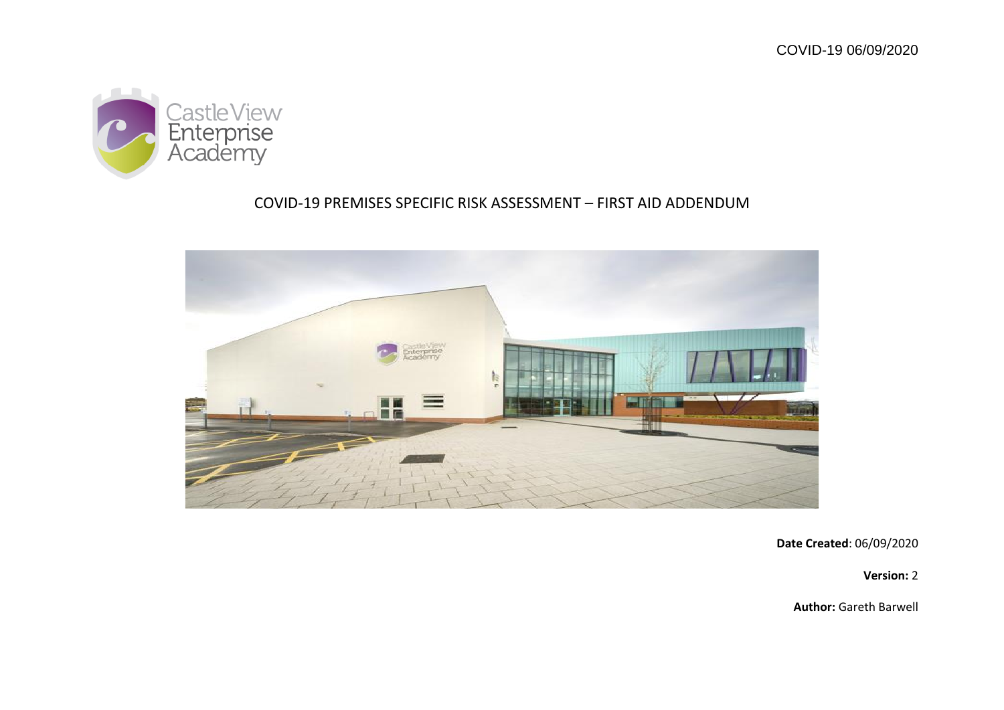

# COVID-19 PREMISES SPECIFIC RISK ASSESSMENT – FIRST AID ADDENDUM



**Date Created**: 06/09/2020

**Version:** 2

**Author:** Gareth Barwell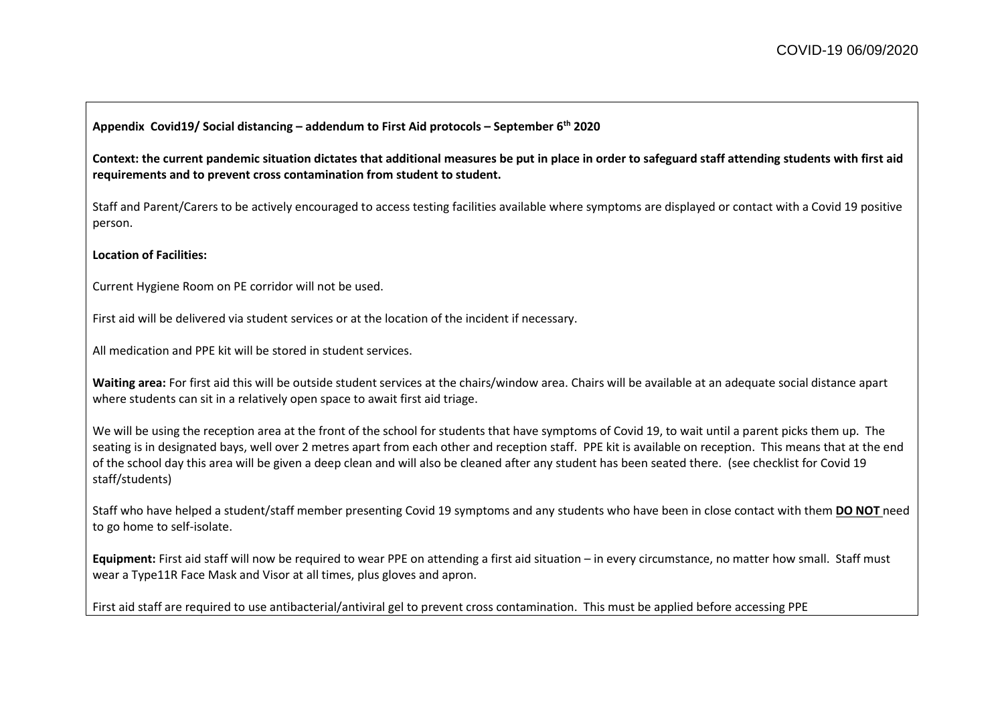#### **Appendix Covid19/ Social distancing – addendum to First Aid protocols – September 6th 2020**

**Context: the current pandemic situation dictates that additional measures be put in place in order to safeguard staff attending students with first aid requirements and to prevent cross contamination from student to student.**

Staff and Parent/Carers to be actively encouraged to access testing facilities available where symptoms are displayed or contact with a Covid 19 positive person.

#### **Location of Facilities:**

Current Hygiene Room on PE corridor will not be used.

First aid will be delivered via student services or at the location of the incident if necessary.

All medication and PPE kit will be stored in student services.

**Waiting area:** For first aid this will be outside student services at the chairs/window area. Chairs will be available at an adequate social distance apart where students can sit in a relatively open space to await first aid triage.

We will be using the reception area at the front of the school for students that have symptoms of Covid 19, to wait until a parent picks them up. The seating is in designated bays, well over 2 metres apart from each other and reception staff. PPE kit is available on reception. This means that at the end of the school day this area will be given a deep clean and will also be cleaned after any student has been seated there. (see checklist for Covid 19 staff/students)

Staff who have helped a student/staff member presenting Covid 19 symptoms and any students who have been in close contact with them **DO NOT** need to go home to self-isolate.

**Equipment:** First aid staff will now be required to wear PPE on attending a first aid situation – in every circumstance, no matter how small. Staff must wear a Type11R Face Mask and Visor at all times, plus gloves and apron.

First aid staff are required to use antibacterial/antiviral gel to prevent cross contamination. This must be applied before accessing PPE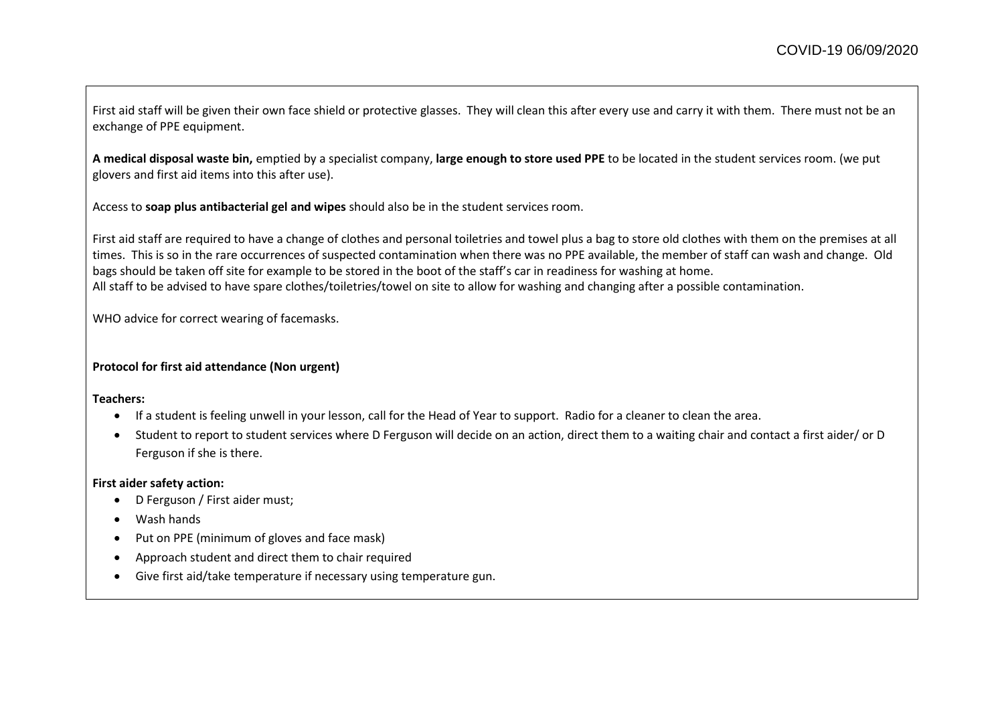First aid staff will be given their own face shield or protective glasses. They will clean this after every use and carry it with them. There must not be an exchange of PPE equipment.

**A medical disposal waste bin,** emptied by a specialist company, **large enough to store used PPE** to be located in the student services room. (we put glovers and first aid items into this after use).

Access to **soap plus antibacterial gel and wipes** should also be in the student services room.

First aid staff are required to have a change of clothes and personal toiletries and towel plus a bag to store old clothes with them on the premises at all times. This is so in the rare occurrences of suspected contamination when there was no PPE available, the member of staff can wash and change. Old bags should be taken off site for example to be stored in the boot of the staff's car in readiness for washing at home. All staff to be advised to have spare clothes/toiletries/towel on site to allow for washing and changing after a possible contamination.

WHO advice for correct wearing of facemasks.

## **Protocol for first aid attendance (Non urgent)**

**Teachers:**

- If a student is feeling unwell in your lesson, call for the Head of Year to support. Radio for a cleaner to clean the area.
- Student to report to student services where D Ferguson will decide on an action, direct them to a waiting chair and contact a first aider/ or D Ferguson if she is there.

#### **First aider safety action:**

- D Ferguson / First aider must;
- Wash hands
- Put on PPE (minimum of gloves and face mask)
- Approach student and direct them to chair required
- Give first aid/take temperature if necessary using temperature gun.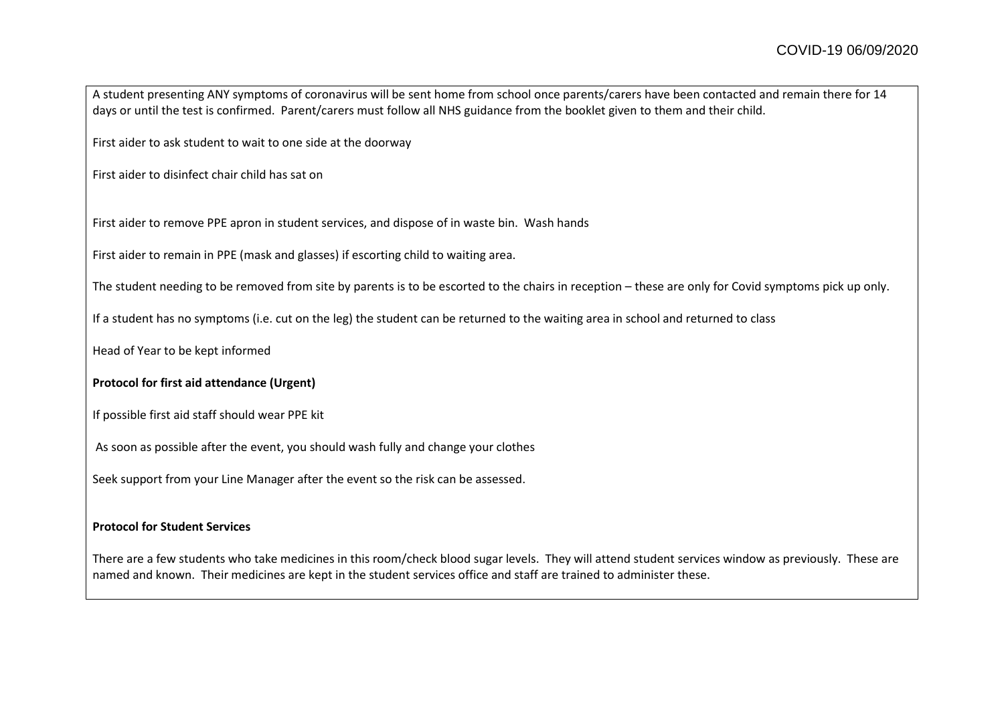A student presenting ANY symptoms of coronavirus will be sent home from school once parents/carers have been contacted and remain there for 14 days or until the test is confirmed. Parent/carers must follow all NHS guidance from the booklet given to them and their child.

First aider to ask student to wait to one side at the doorway

First aider to disinfect chair child has sat on

First aider to remove PPE apron in student services, and dispose of in waste bin. Wash hands

First aider to remain in PPE (mask and glasses) if escorting child to waiting area.

The student needing to be removed from site by parents is to be escorted to the chairs in reception – these are only for Covid symptoms pick up only.

If a student has no symptoms (i.e. cut on the leg) the student can be returned to the waiting area in school and returned to class

Head of Year to be kept informed

## **Protocol for first aid attendance (Urgent)**

If possible first aid staff should wear PPE kit

As soon as possible after the event, you should wash fully and change your clothes

Seek support from your Line Manager after the event so the risk can be assessed.

#### **Protocol for Student Services**

There are a few students who take medicines in this room/check blood sugar levels. They will attend student services window as previously. These are named and known. Their medicines are kept in the student services office and staff are trained to administer these.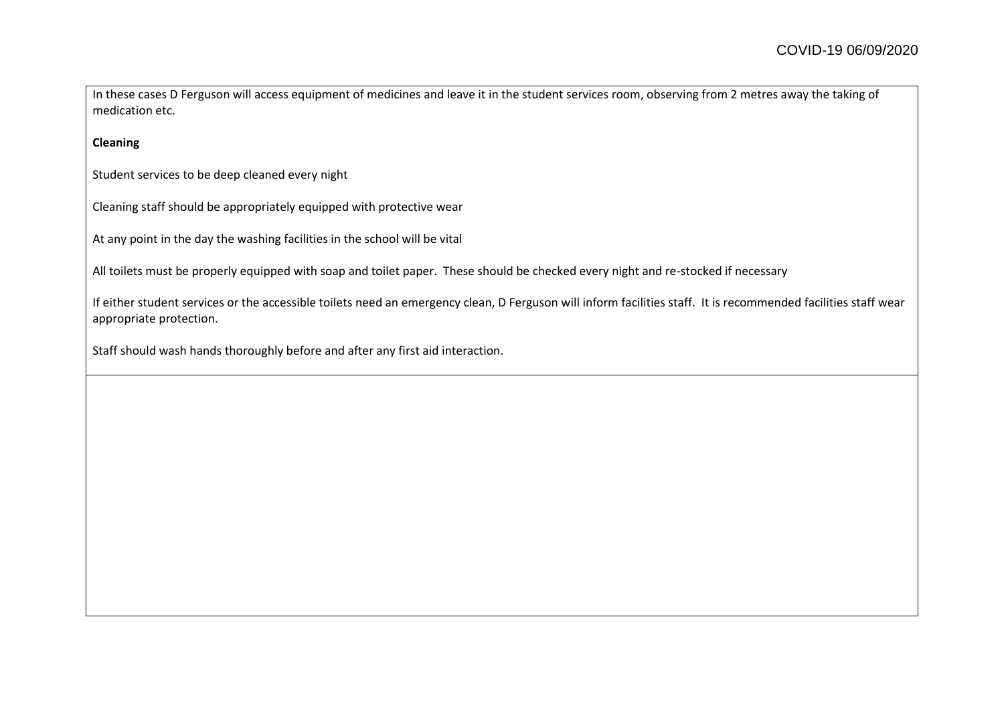In these cases D Ferguson will access equipment of medicines and leave it in the student services room, observing from 2 metres away the taking of medication etc.

**Cleaning** 

Student services to be deep cleaned every night

Cleaning staff should be appropriately equipped with protective wear

At any point in the day the washing facilities in the school will be vital

All toilets must be properly equipped with soap and toilet paper. These should be checked every night and re-stocked if necessary

If either student services or the accessible toilets need an emergency clean, D Ferguson will inform facilities staff. It is recommended facilities staff wear appropriate protection.

Staff should wash hands thoroughly before and after any first aid interaction.